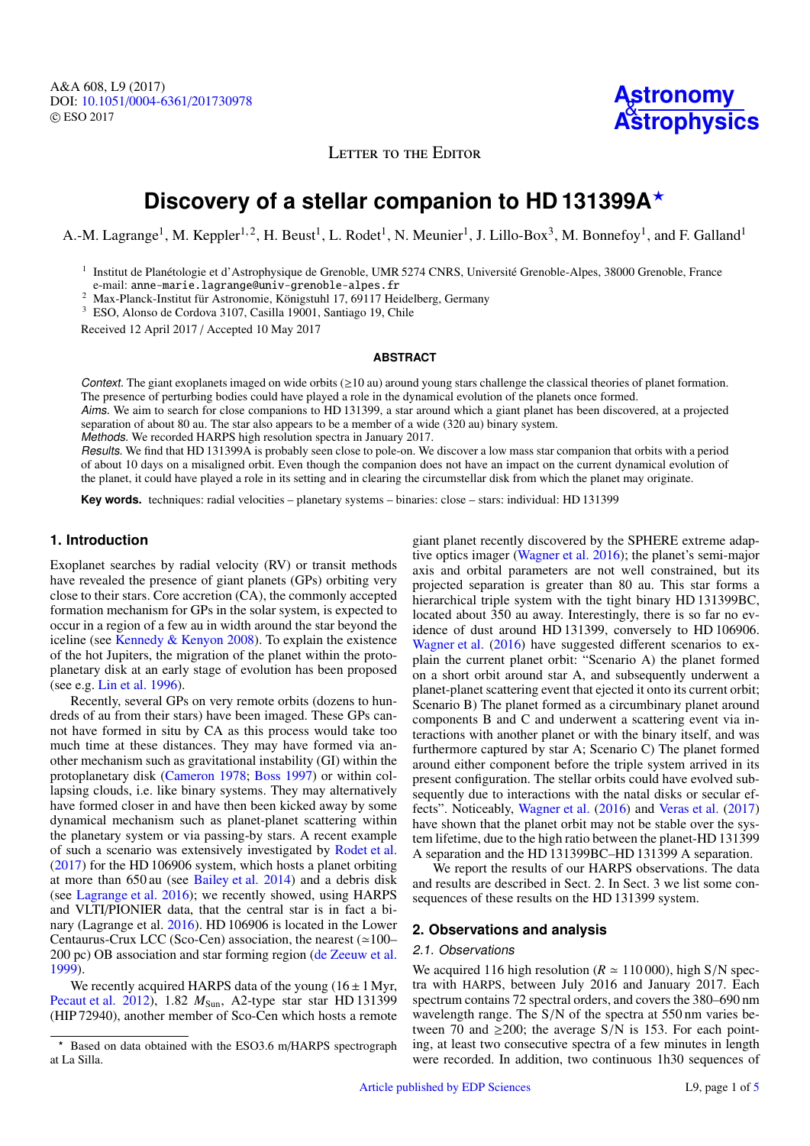A&A 608, L9 (2017) DOI: 10.1051/0004-6361/[201730978](https://doi.org/10.1051/0004-6361/201730978) c ESO 2017



LETTER TO THE EDITOR

# **Discovery of a stellar companion to HD 131399A**?

A.-M. Lagrange<sup>1</sup>, M. Keppler<sup>1, 2</sup>, H. Beust<sup>1</sup>, L. Rodet<sup>1</sup>, N. Meunier<sup>1</sup>, J. Lillo-Box<sup>3</sup>, M. Bonnefoy<sup>1</sup>, and F. Galland<sup>1</sup>

<sup>1</sup> Institut de Planétologie et d'Astrophysique de Grenoble, UMR 5274 CNRS, Université Grenoble-Alpes, 38000 Grenoble, France e-mail: anne-marie.lagrange@univ-grenoble-alpes.fr

<sup>2</sup> Max-Planck-Institut für Astronomie, Königstuhl 17, 69117 Heidelberg, Germany

<sup>3</sup> ESO, Alonso de Cordova 3107, Casilla 19001, Santiago 19, Chile

Received 12 April 2017 / Accepted 10 May 2017

#### **ABSTRACT**

Context. The giant exoplanets imaged on wide orbits  $(\geq 10 \text{ au})$  around young stars challenge the classical theories of planet formation. The presence of perturbing bodies could have played a role in the dynamical evolution of the planets once formed.

Aims. We aim to search for close companions to HD 131399, a star around which a giant planet has been discovered, at a projected separation of about 80 au. The star also appears to be a member of a wide (320 au) binary system.

Methods. We recorded HARPS high resolution spectra in January 2017.

Results. We find that HD 131399A is probably seen close to pole-on. We discover a low mass star companion that orbits with a period of about 10 days on a misaligned orbit. Even though the companion does not have an impact on the current dynamical evolution of the planet, it could have played a role in its setting and in clearing the circumstellar disk from which the planet may originate.

**Key words.** techniques: radial velocities – planetary systems – binaries: close – stars: individual: HD 131399

#### **1. Introduction**

Exoplanet searches by radial velocity (RV) or transit methods have revealed the presence of giant planets (GPs) orbiting very close to their stars. Core accretion (CA), the commonly accepted formation mechanism for GPs in the solar system, is expected to occur in a region of a few au in width around the star beyond the iceline (see [Kennedy & Kenyon](#page-3-0) [2008\)](#page-3-0). To explain the existence of the hot Jupiters, the migration of the planet within the protoplanetary disk at an early stage of evolution has been proposed (see e.g. [Lin et al.](#page-3-1) [1996\)](#page-3-1).

Recently, several GPs on very remote orbits (dozens to hundreds of au from their stars) have been imaged. These GPs cannot have formed in situ by CA as this process would take too much time at these distances. They may have formed via another mechanism such as gravitational instability (GI) within the protoplanetary disk [\(Cameron](#page-3-2) [1978;](#page-3-2) [Boss](#page-3-3) [1997\)](#page-3-3) or within collapsing clouds, i.e. like binary systems. They may alternatively have formed closer in and have then been kicked away by some dynamical mechanism such as planet-planet scattering within the planetary system or via passing-by stars. A recent example of such a scenario was extensively investigated by [Rodet et al.](#page-3-4) [\(2017\)](#page-3-4) for the HD 106906 system, which hosts a planet orbiting at more than 650 au (see [Bailey et al.](#page-3-5) [2014\)](#page-3-5) and a debris disk (see [Lagrange et al.](#page-3-6) [2016\)](#page-3-6); we recently showed, using HARPS and VLTI/PIONIER data, that the central star is in fact a binary (Lagrange et al. [2016\)](#page-3-6). HD 106906 is located in the Lower Centaurus-Crux LCC (Sco-Cen) association, the nearest  $(\simeq 100-$ 200 pc) OB association and star forming region [\(de Zeeuw et al.](#page-3-7) [1999\)](#page-3-7).

We recently acquired HARPS data of the young  $(16 \pm 1 \text{ Myr})$ , [Pecaut et al.](#page-3-8) [2012\)](#page-3-8), 1.82  $M_{Sun}$ , A2-type star star HD 131399 (HIP 72940), another member of Sco-Cen which hosts a remote

giant planet recently discovered by the SPHERE extreme adaptive optics imager [\(Wagner et al.](#page-3-9) [2016\)](#page-3-9); the planet's semi-major axis and orbital parameters are not well constrained, but its projected separation is greater than 80 au. This star forms a hierarchical triple system with the tight binary HD 131399BC, located about 350 au away. Interestingly, there is so far no evidence of dust around HD 131399, conversely to HD 106906. [Wagner et al.](#page-3-9) [\(2016\)](#page-3-9) have suggested different scenarios to explain the current planet orbit: "Scenario A) the planet formed on a short orbit around star A, and subsequently underwent a planet-planet scattering event that ejected it onto its current orbit; Scenario B) The planet formed as a circumbinary planet around components B and C and underwent a scattering event via interactions with another planet or with the binary itself, and was furthermore captured by star A; Scenario C) The planet formed around either component before the triple system arrived in its present configuration. The stellar orbits could have evolved subsequently due to interactions with the natal disks or secular effects". Noticeably, [Wagner et al.](#page-3-9) [\(2016\)](#page-3-9) and [Veras et al.](#page-3-10) [\(2017\)](#page-3-10) have shown that the planet orbit may not be stable over the system lifetime, due to the high ratio between the planet-HD 131399 A separation and the HD 131399BC–HD 131399 A separation.

We report the results of our HARPS observations. The data and results are described in Sect. 2. In Sect. 3 we list some consequences of these results on the HD 131399 system.

## **2. Observations and analysis**

#### 2.1. Observations

We acquired 116 high resolution ( $R \approx 110000$ ), high S/N spectra with HARPS, between July 2016 and January 2017. Each spectrum contains 72 spectral orders, and covers the 380–690 nm wavelength range. The S/N of the spectra at 550 nm varies between 70 and  $\geq$ 200; the average S/N is 153. For each pointing, at least two consecutive spectra of a few minutes in length were recorded. In addition, two continuous 1h30 sequences of

<sup>?</sup> Based on data obtained with the ESO3.6 m/HARPS spectrograph at La Silla.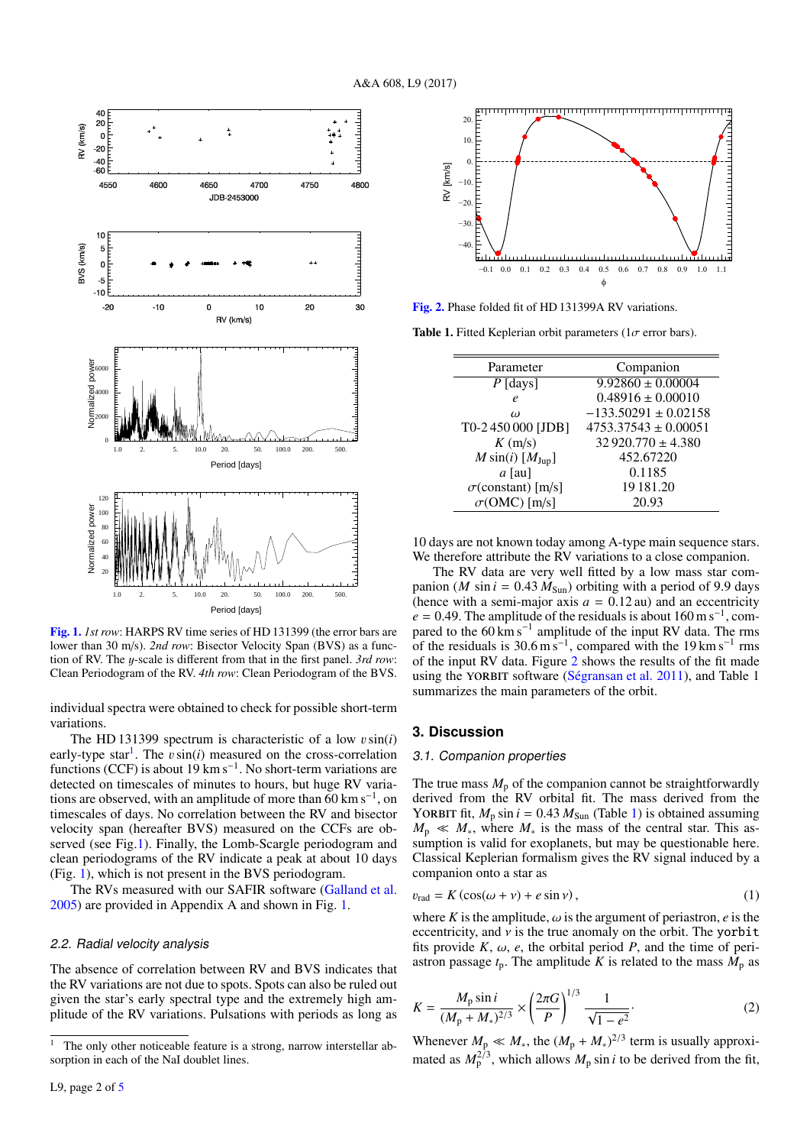

<span id="page-1-1"></span>[Fig. 1.](http://dexter.edpsciences.org/applet.php?DOI=10.1051/0004-6361/201730978&pdf_id=1) *1st row*: HARPS RV time series of HD 131399 (the error bars are lower than 30 m/s). *2nd row*: Bisector Velocity Span (BVS) as a function of RV. The y-scale is different from that in the first panel. *3rd row*: Clean Periodogram of the RV. *4th row*: Clean Periodogram of the BVS.

individual spectra were obtained to check for possible short-term variations.

The HD 131399 spectrum is characteristic of a low vsin(*i*) early-type star<sup>[1](#page-1-0)</sup>. The  $v \sin(i)$  measured on the cross-correlation early-type star<sup>1</sup>. The *v* sin(*i*) measured on the cross-correlation functions (CCF) is about 19 km s<sup>−1</sup>. No short-term variations are detected on timescales of minutes to hours, but huge RV variations are observed, with an amplitude of more than  $60 \text{ km s}^{-1}$ , on timescales of days. No correlation between the RV and bisector velocity span (hereafter BVS) measured on the CCFs are ob-served (see Fig[.1\)](#page-1-1). Finally, the Lomb-Scargle periodogram and clean periodograms of the RV indicate a peak at about 10 days (Fig. [1\)](#page-1-1), which is not present in the BVS periodogram.

The RVs measured with our SAFIR software [\(Galland et al.](#page-3-11) [2005\)](#page-3-11) are provided in Appendix A and shown in Fig. [1.](#page-1-1)

#### 2.2. Radial velocity analysis

The absence of correlation between RV and BVS indicates that the RV variations are not due to spots. Spots can also be ruled out given the star's early spectral type and the extremely high amplitude of the RV variations. Pulsations with periods as long as



<span id="page-1-2"></span>[Fig. 2.](http://dexter.edpsciences.org/applet.php?DOI=10.1051/0004-6361/201730978&pdf_id=2) Phase folded fit of HD 131399A RV variations.

Table 1. Fitted Keplerian orbit parameters ( $1\sigma$  error bars).

<span id="page-1-3"></span>

| Parameter                 | Companion                |
|---------------------------|--------------------------|
| $P$ [days]                | $9.92860 \pm 0.00004$    |
| e                         | $0.48916 \pm 0.00010$    |
| $\omega$                  | $-133.50291 \pm 0.02158$ |
| T0-2450000 [JDB]          | $4753.37543 \pm 0.00051$ |
| K(m/s)                    | $32920.770 \pm 4.380$    |
| $M \sin(i)$ [ $M_{Jup}$ ] | 452.67220                |
| $a$ [au]                  | 0.1185                   |
| $\sigma$ (constant) [m/s] | 19 18 1.20               |
| $\sigma$ (OMC) [m/s]      | 20.93                    |

10 days are not known today among A-type main sequence stars. We therefore attribute the RV variations to a close companion.

The RV data are very well fitted by a low mass star companion (*M* sin  $i = 0.43 M_{Sun}$ ) orbiting with a period of 9.9 days (hence with a semi-major axis  $a = 0.12$  au) and an eccentricity  $e = 0.49$ . The amplitude of the residuals is about 160 m s<sup>-1</sup>, compared to the 60 km s<sup>-1</sup> amplitude of the input RV data. The rms pared to the  $60 \text{ km s}^{-1}$  amplitude of the input RV data. The rms of the residuals is 30.6 m s<sup>-1</sup>, compared with the 19 km s<sup>-1</sup> rms<br>of the input RV data. Figure 2 shows the results of the fit made of the input RV data. Figure [2](#page-1-2) shows the results of the fit made using the YORBIT software [\(Ségransan et al.](#page-3-12) [2011\)](#page-3-12), and Table 1 summarizes the main parameters of the orbit.

#### **3. Discussion**

#### 3.1. Companion properties

The true mass  $M_p$  of the companion cannot be straightforwardly derived from the RV orbital fit. The mass derived from the YORBIT fit,  $M_p \sin i = 0.43 M_{Sun}$  (Table [1\)](#page-1-3) is obtained assuming  $M_p \ll M_*$ , where  $M_*$  is the mass of the central star. This assumption is valid for exoplanets, but may be questionable here. Classical Keplerian formalism gives the RV signal induced by a companion onto a star as

$$
v_{\text{rad}} = K \left( \cos(\omega + \nu) + e \sin \nu \right),\tag{1}
$$

where *K* is the amplitude,  $\omega$  is the argument of periastron, *e* is the eccentricity and *y* is the true anomaly on the orbit. The vorbit eccentricity, and  $\nu$  is the true anomaly on the orbit. The yorbit fits provide  $K$ ,  $\omega$ ,  $e$ , the orbital period  $P$ , and the time of periastron passage  $t_p$ . The amplitude *K* is related to the mass  $M_p$  as

$$
K = \frac{M_{\rm p} \sin i}{(M_{\rm p} + M_*)^{2/3}} \times \left(\frac{2\pi G}{P}\right)^{1/3} \frac{1}{\sqrt{1 - e^2}}.
$$
 (2)

Whenever  $M_{\rm p} \ll M_*$ , the  $(M_{\rm p} + M_*)^{2/3}$  term is usually approximated as  $M_{\rm p}^{2/3}$ , which allows  $M_{\rm p}$  sin *i* to be derived from the fit,

<span id="page-1-0"></span>The only other noticeable feature is a strong, narrow interstellar ab-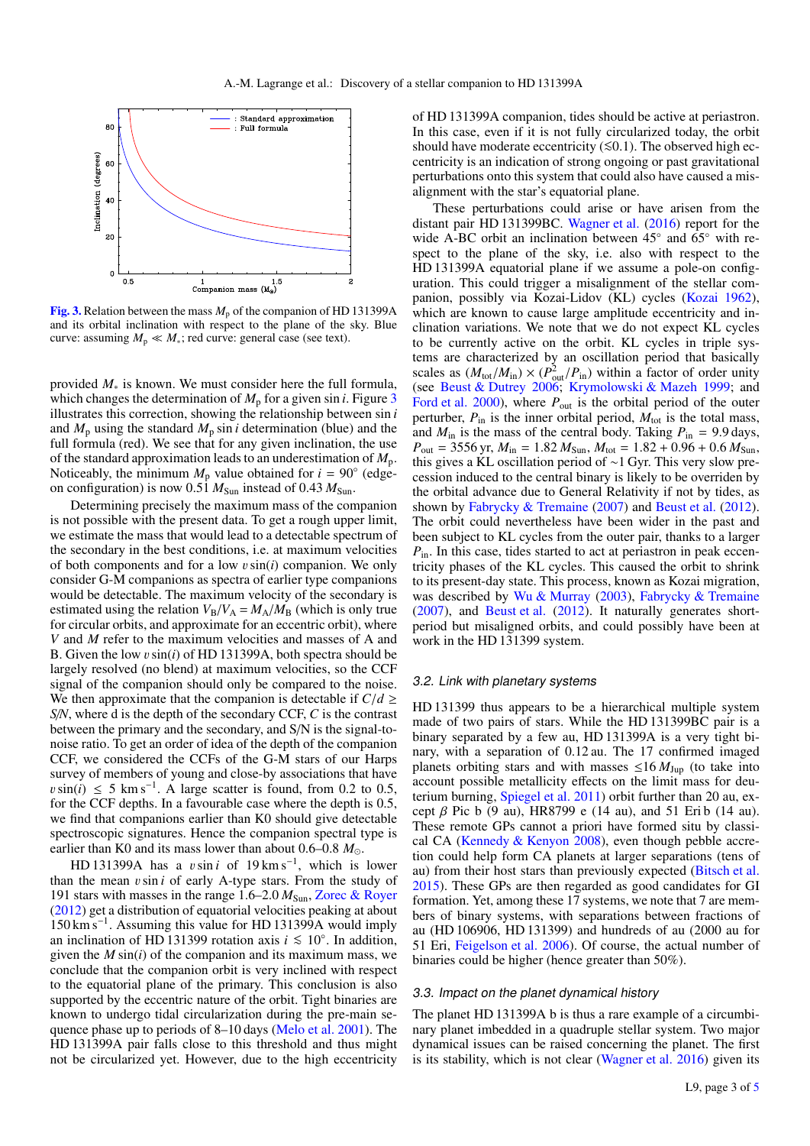

<span id="page-2-0"></span>[Fig. 3.](http://dexter.edpsciences.org/applet.php?DOI=10.1051/0004-6361/201730978&pdf_id=3) Relation between the mass  $M_p$  of the companion of HD 131399A and its orbital inclination with respect to the plane of the sky. Blue curve: assuming  $M_p \ll M_*$ ; red curve: general case (see text).

provided *M*<sup>∗</sup> is known. We must consider here the full formula, which changes the determination of  $M_p$  for a given sin *i*. Figure [3](#page-2-0) illustrates this correction, showing the relationship between sin *i* and  $M_p$  using the standard  $M_p \sin i$  determination (blue) and the full formula (red). We see that for any given inclination, the use of the standard approximation leads to an underestimation of *M*p. Noticeably, the minimum  $M_p$  value obtained for  $i = 90^\circ$  (edgeon configuration) is now  $0.51 M<sub>Sun</sub>$  instead of  $0.43 M<sub>Sun</sub>$ .

Determining precisely the maximum mass of the companion is not possible with the present data. To get a rough upper limit, we estimate the mass that would lead to a detectable spectrum of the secondary in the best conditions, i.e. at maximum velocities of both components and for a low vsin(*i*) companion. We only consider G-M companions as spectra of earlier type companions would be detectable. The maximum velocity of the secondary is estimated using the relation  $V_B/V_A = M_A/M_B$  (which is only true for circular orbits, and approximate for an eccentric orbit), where *V* and *M* refer to the maximum velocities and masses of A and B. Given the low vsin(*i*) of HD 131399A, both spectra should be largely resolved (no blend) at maximum velocities, so the CCF signal of the companion should only be compared to the noise. We then approximate that the companion is detectable if  $C/d \ge$ *S*/*N*, where d is the depth of the secondary CCF, *C* is the contrast between the primary and the secondary, and S/N is the signal-tonoise ratio. To get an order of idea of the depth of the companion CCF, we considered the CCFs of the G-M stars of our Harps survey of members of young and close-by associations that have  $v \sin(i) \leq 5$  km s<sup>-1</sup>. A large scatter is found, from 0.2 to 0.5, for the CCF denths In a favourable case where the denth is 0.5 for the CCF depths. In a favourable case where the depth is 0.5, we find that companions earlier than K0 should give detectable spectroscopic signatures. Hence the companion spectral type is earlier than K0 and its mass lower than about 0.6–0.8  $M_{\odot}$ .

HD 131399A has a *v*sin *i* of 19 km s<sup>-1</sup>, which is lower the mean *v*sin *i* of early A-type stars. From the study of than the mean  $v \sin i$  of early A-type stars. From the study of 191 stars with masses in the range 1.6–2.0  $M_{Sun}$ , [Zorec & Royer](#page-3-13) [\(2012\)](#page-3-13) get a distribution of equatorial velocities peaking at about 150 km s<sup>−</sup><sup>1</sup> . Assuming this value for HD 131399A would imply an inclination of HD 131399 rotation axis  $i \le 10°$ . In addition, given the *M* sin(*i*) of the companion and its maximum mass, we given the *M* sin(*i*) of the companion and its maximum mass, we conclude that the companion orbit is very inclined with respect to the equatorial plane of the primary. This conclusion is also supported by the eccentric nature of the orbit. Tight binaries are known to undergo tidal circularization during the pre-main sequence phase up to periods of 8–10 days [\(Melo et al.](#page-3-14) [2001\)](#page-3-14). The HD 131399A pair falls close to this threshold and thus might not be circularized yet. However, due to the high eccentricity

of HD 131399A companion, tides should be active at periastron. In this case, even if it is not fully circularized today, the orbit should have moderate eccentricity  $(≤0.1)$ . The observed high eccentricity is an indication of strong ongoing or past gravitational perturbations onto this system that could also have caused a misalignment with the star's equatorial plane.

These perturbations could arise or have arisen from the distant pair HD 131399BC. [Wagner et al.](#page-3-9) [\(2016\)](#page-3-9) report for the wide A-BC orbit an inclination between 45° and 65° with respect to the plane of the sky, i.e. also with respect to the HD 131399A equatorial plane if we assume a pole-on configuration. This could trigger a misalignment of the stellar companion, possibly via Kozai-Lidov (KL) cycles [\(Kozai](#page-3-15) [1962\)](#page-3-15), which are known to cause large amplitude eccentricity and inclination variations. We note that we do not expect KL cycles to be currently active on the orbit. KL cycles in triple systems are characterized by an oscillation period that basically scales as  $(M_{\text{tot}}/M_{\text{in}}) \times (P_{\text{out}}^2/P_{\text{in}})$  within a factor of order unity (see [Beust & Dutrey](#page-3-16) [2006;](#page-3-16) [Krymolowski & Mazeh](#page-3-17) [1999;](#page-3-17) and [Ford et al.](#page-3-18) [2000\)](#page-3-18), where  $P_{\text{out}}$  is the orbital period of the outer perturber,  $P_{\text{in}}$  is the inner orbital period,  $M_{\text{tot}}$  is the total mass, and  $M_{\text{in}}$  is the mass of the central body. Taking  $P_{\text{in}} = 9.9 \text{ days}$ ,  $P_{\text{out}} = 3556 \text{ yr}, M_{\text{in}} = 1.82 M_{\text{Sun}}, M_{\text{tot}} = 1.82 + 0.96 + 0.6 M_{\text{Sun}},$ this gives a KL oscillation period of ∼1 Gyr. This very slow precession induced to the central binary is likely to be overriden by the orbital advance due to General Relativity if not by tides, as shown by [Fabrycky & Tremaine](#page-3-19) [\(2007\)](#page-3-19) and [Beust et al.](#page-3-20) [\(2012\)](#page-3-20). The orbit could nevertheless have been wider in the past and been subject to KL cycles from the outer pair, thanks to a larger *P*in. In this case, tides started to act at periastron in peak eccentricity phases of the KL cycles. This caused the orbit to shrink to its present-day state. This process, known as Kozai migration, was described by [Wu & Murray](#page-3-21) [\(2003\)](#page-3-21), [Fabrycky & Tremaine](#page-3-19) [\(2007\)](#page-3-19), and [Beust et al.](#page-3-20) [\(2012\)](#page-3-20). It naturally generates shortperiod but misaligned orbits, and could possibly have been at work in the HD 131399 system.

#### 3.2. Link with planetary systems

HD 131399 thus appears to be a hierarchical multiple system made of two pairs of stars. While the HD 131399BC pair is a binary separated by a few au, HD 131399A is a very tight binary, with a separation of 0.12 au. The 17 confirmed imaged planets orbiting stars and with masses  $\leq 16 M_{Jup}$  (to take into account possible metallicity effects on the limit mass for deuterium burning, [Spiegel et al.](#page-3-22) [2011\)](#page-3-22) orbit further than 20 au, except  $\beta$  Pic b (9 au), HR8799 e (14 au), and 51 Eri b (14 au). These remote GPs cannot a priori have formed situ by classical CA [\(Kennedy & Kenyon](#page-3-0) [2008\)](#page-3-0), even though pebble accretion could help form CA planets at larger separations (tens of au) from their host stars than previously expected [\(Bitsch et al.](#page-3-23) [2015\)](#page-3-23). These GPs are then regarded as good candidates for GI formation. Yet, among these 17 systems, we note that 7 are members of binary systems, with separations between fractions of au (HD 106906, HD 131399) and hundreds of au (2000 au for 51 Eri, [Feigelson et al.](#page-3-24) [2006\)](#page-3-24). Of course, the actual number of binaries could be higher (hence greater than 50%).

#### 3.3. Impact on the planet dynamical history

The planet HD 131399A b is thus a rare example of a circumbinary planet imbedded in a quadruple stellar system. Two major dynamical issues can be raised concerning the planet. The first is its stability, which is not clear [\(Wagner et al.](#page-3-9) [2016\)](#page-3-9) given its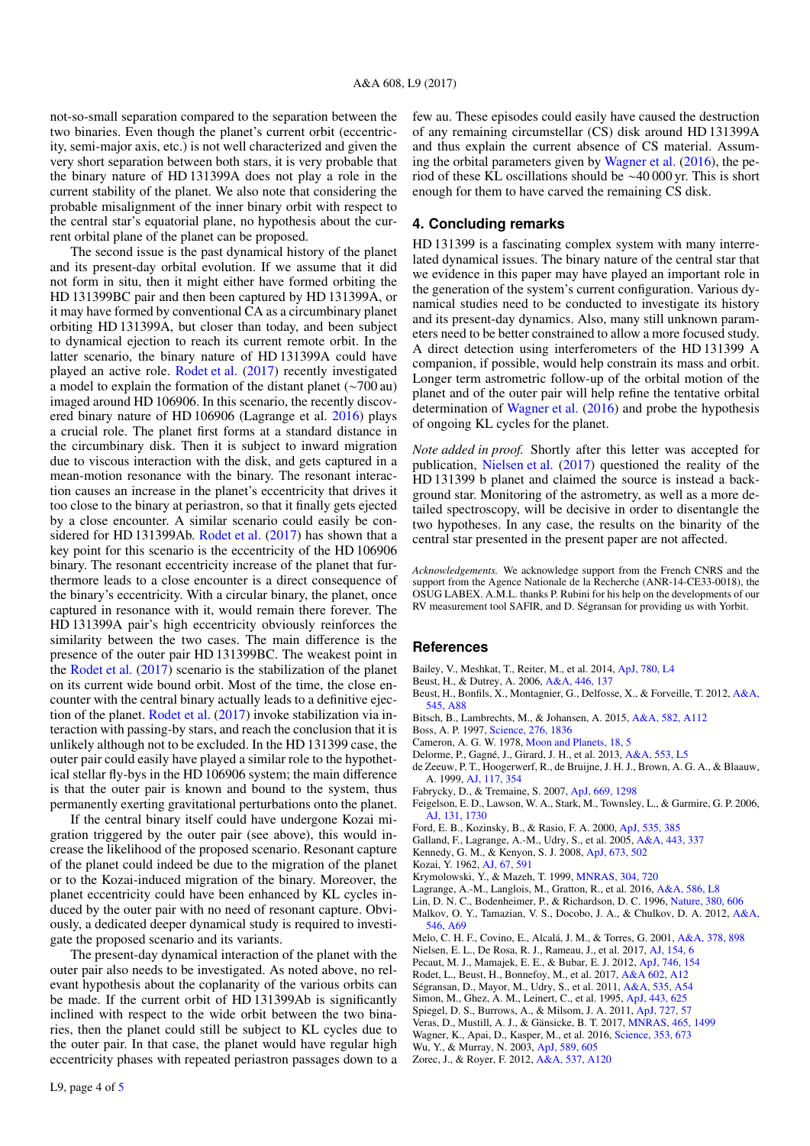not-so-small separation compared to the separation between the two binaries. Even though the planet's current orbit (eccentricity, semi-major axis, etc.) is not well characterized and given the very short separation between both stars, it is very probable that the binary nature of HD 131399A does not play a role in the current stability of the planet. We also note that considering the probable misalignment of the inner binary orbit with respect to the central star's equatorial plane, no hypothesis about the current orbital plane of the planet can be proposed.

The second issue is the past dynamical history of the planet and its present-day orbital evolution. If we assume that it did not form in situ, then it might either have formed orbiting the HD 131399BC pair and then been captured by HD 131399A, or it may have formed by conventional CA as a circumbinary planet orbiting HD 131399A, but closer than today, and been subject to dynamical ejection to reach its current remote orbit. In the latter scenario, the binary nature of HD 131399A could have played an active role. [Rodet et al.](#page-3-4) [\(2017\)](#page-3-4) recently investigated a model to explain the formation of the distant planet (∼700 au) imaged around HD 106906. In this scenario, the recently discovered binary nature of HD 106906 (Lagrange et al. [2016\)](#page-3-6) plays a crucial role. The planet first forms at a standard distance in the circumbinary disk. Then it is subject to inward migration due to viscous interaction with the disk, and gets captured in a mean-motion resonance with the binary. The resonant interaction causes an increase in the planet's eccentricity that drives it too close to the binary at periastron, so that it finally gets ejected by a close encounter. A similar scenario could easily be considered for HD 131399Ab. [Rodet et al.](#page-3-4) [\(2017\)](#page-3-4) has shown that a key point for this scenario is the eccentricity of the HD 106906 binary. The resonant eccentricity increase of the planet that furthermore leads to a close encounter is a direct consequence of the binary's eccentricity. With a circular binary, the planet, once captured in resonance with it, would remain there forever. The HD 131399A pair's high eccentricity obviously reinforces the similarity between the two cases. The main difference is the presence of the outer pair HD 131399BC. The weakest point in the [Rodet et al.](#page-3-4) [\(2017\)](#page-3-4) scenario is the stabilization of the planet on its current wide bound orbit. Most of the time, the close encounter with the central binary actually leads to a definitive ejection of the planet. [Rodet et al.](#page-3-4) [\(2017\)](#page-3-4) invoke stabilization via interaction with passing-by stars, and reach the conclusion that it is unlikely although not to be excluded. In the HD 131399 case, the outer pair could easily have played a similar role to the hypothetical stellar fly-bys in the HD 106906 system; the main difference is that the outer pair is known and bound to the system, thus permanently exerting gravitational perturbations onto the planet.

If the central binary itself could have undergone Kozai migration triggered by the outer pair (see above), this would increase the likelihood of the proposed scenario. Resonant capture of the planet could indeed be due to the migration of the planet or to the Kozai-induced migration of the binary. Moreover, the planet eccentricity could have been enhanced by KL cycles induced by the outer pair with no need of resonant capture. Obviously, a dedicated deeper dynamical study is required to investigate the proposed scenario and its variants.

The present-day dynamical interaction of the planet with the outer pair also needs to be investigated. As noted above, no relevant hypothesis about the coplanarity of the various orbits can be made. If the current orbit of HD 131399Ab is significantly inclined with respect to the wide orbit between the two binaries, then the planet could still be subject to KL cycles due to the outer pair. In that case, the planet would have regular high eccentricity phases with repeated periastron passages down to a few au. These episodes could easily have caused the destruction of any remaining circumstellar (CS) disk around HD 131399A and thus explain the current absence of CS material. Assuming the orbital parameters given by [Wagner et al.](#page-3-9) [\(2016\)](#page-3-9), the period of these KL oscillations should be ∼40 000 yr. This is short enough for them to have carved the remaining CS disk.

## **4. Concluding remarks**

HD 131399 is a fascinating complex system with many interrelated dynamical issues. The binary nature of the central star that we evidence in this paper may have played an important role in the generation of the system's current configuration. Various dynamical studies need to be conducted to investigate its history and its present-day dynamics. Also, many still unknown parameters need to be better constrained to allow a more focused study. A direct detection using interferometers of the HD 131399 A companion, if possible, would help constrain its mass and orbit. Longer term astrometric follow-up of the orbital motion of the planet and of the outer pair will help refine the tentative orbital determination of [Wagner et al.](#page-3-9) [\(2016\)](#page-3-9) and probe the hypothesis of ongoing KL cycles for the planet.

*Note added in proof.* Shortly after this letter was accepted for publication, [Nielsen et al.](#page-3-25) [\(2017\)](#page-3-25) questioned the reality of the HD 131399 b planet and claimed the source is instead a background star. Monitoring of the astrometry, as well as a more detailed spectroscopy, will be decisive in order to disentangle the two hypotheses. In any case, the results on the binarity of the central star presented in the present paper are not affected.

*Acknowledgements.* We acknowledge support from the French CNRS and the support from the Agence Nationale de la Recherche (ANR-14-CE33-0018), the OSUG LABEX. A.M.L. thanks P. Rubini for his help on the developments of our RV measurement tool SAFIR, and D. Ségransan for providing us with Yorbit.

#### **References**

- <span id="page-3-5"></span>Bailey, V., Meshkat, T., Reiter, M., et al. 2014, [ApJ, 780, L4](http://linker.aanda.org/10.1051/0004-6361/201730978/1)
- <span id="page-3-16"></span>Beust, H., & Dutrey, A. 2006, [A&A, 446, 137](http://linker.aanda.org/10.1051/0004-6361/201730978/2)
- <span id="page-3-20"></span>Beust, H., Bonfils, X., Montagnier, G., Delfosse, X., & Forveille, T. 2012, [A&A,](http://linker.aanda.org/10.1051/0004-6361/201730978/3) [545, A88](http://linker.aanda.org/10.1051/0004-6361/201730978/3)
- <span id="page-3-23"></span>Bitsch, B., Lambrechts, M., & Johansen, A. 2015, [A&A, 582, A112](http://linker.aanda.org/10.1051/0004-6361/201730978/4)
- <span id="page-3-3"></span>Boss, A. P. 1997, [Science, 276, 1836](http://linker.aanda.org/10.1051/0004-6361/201730978/5)
- <span id="page-3-2"></span>Cameron, A. G. W. 1978, [Moon and Planets, 18, 5](http://linker.aanda.org/10.1051/0004-6361/201730978/6)
- <span id="page-3-28"></span>Delorme, P., Gagné, J., Girard, J. H., et al. 2013, [A&A, 553, L5](http://linker.aanda.org/10.1051/0004-6361/201730978/7)
- <span id="page-3-7"></span>de Zeeuw, P. T., Hoogerwerf, R., de Bruijne, J. H. J., Brown, A. G. A., & Blaauw, A. 1999, [AJ, 117, 354](http://linker.aanda.org/10.1051/0004-6361/201730978/8)
- <span id="page-3-19"></span>Fabrycky, D., & Tremaine, S. 2007, [ApJ, 669, 1298](http://linker.aanda.org/10.1051/0004-6361/201730978/9)
- <span id="page-3-24"></span>Feigelson, E. D., Lawson, W. A., Stark, M., Townsley, L., & Garmire, G. P. 2006, [AJ, 131, 1730](http://linker.aanda.org/10.1051/0004-6361/201730978/10)
- <span id="page-3-18"></span>Ford, E. B., Kozinsky, B., & Rasio, F. A. 2000, [ApJ, 535, 385](http://linker.aanda.org/10.1051/0004-6361/201730978/11)
- <span id="page-3-11"></span>Galland, F., Lagrange, A.-M., Udry, S., et al. 2005, [A&A, 443, 337](http://linker.aanda.org/10.1051/0004-6361/201730978/12)
- <span id="page-3-0"></span>Kennedy, G. M., & Kenyon, S. J. 2008, [ApJ, 673, 502](http://linker.aanda.org/10.1051/0004-6361/201730978/13)
- <span id="page-3-15"></span>Kozai, Y. 1962, [AJ, 67, 591](http://linker.aanda.org/10.1051/0004-6361/201730978/14)
- <span id="page-3-17"></span>Krymolowski, Y., & Mazeh, T. 1999, [MNRAS, 304, 720](http://linker.aanda.org/10.1051/0004-6361/201730978/15)
- <span id="page-3-6"></span>Lagrange, A.-M., Langlois, M., Gratton, R., et al. 2016, [A&A, 586, L8](http://linker.aanda.org/10.1051/0004-6361/201730978/16)
- <span id="page-3-1"></span>Lin, D. N. C., Bodenheimer, P., & Richardson, D. C. 1996, [Nature, 380, 606](http://linker.aanda.org/10.1051/0004-6361/201730978/17)
- <span id="page-3-27"></span>Malkov, O. Y., Tamazian, V. S., Docobo, J. A., & Chulkov, D. A. 2012, [A&A,](http://linker.aanda.org/10.1051/0004-6361/201730978/18) [546, A69](http://linker.aanda.org/10.1051/0004-6361/201730978/18)

<span id="page-3-14"></span>Melo, C. H. F., Covino, E., Alcalá, J. M., & Torres, G. 2001, [A&A, 378, 898](http://linker.aanda.org/10.1051/0004-6361/201730978/19)

- <span id="page-3-25"></span>Nielsen, E. L., De Rosa, R. J., Rameau, J., et al. 2017, [AJ, 154, 6](http://linker.aanda.org/10.1051/0004-6361/201730978/20)
- <span id="page-3-8"></span>Pecaut, M. J., Mamajek, E. E., & Bubar, E. J. 2012, [ApJ, 746, 154](http://linker.aanda.org/10.1051/0004-6361/201730978/21)
- <span id="page-3-4"></span>Rodet, L., Beust, H., Bonnefoy, M., et al. 2017, [A&A 602, A12](http://linker.aanda.org/10.1051/0004-6361/201730978/22)
- <span id="page-3-12"></span>Ségransan, D., Mayor, M., Udry, S., et al. 2011, [A&A, 535, A54](http://linker.aanda.org/10.1051/0004-6361/201730978/23)
- <span id="page-3-26"></span>Simon, M., Ghez, A. M., Leinert, C., et al. 1995, [ApJ, 443, 625](http://linker.aanda.org/10.1051/0004-6361/201730978/24)
- <span id="page-3-22"></span>Spiegel, D. S., Burrows, A., & Milsom, J. A. 2011, [ApJ, 727, 57](http://linker.aanda.org/10.1051/0004-6361/201730978/25)
- <span id="page-3-10"></span>Veras, D., Mustill, A. J., & Gänsicke, B. T. 2017, [MNRAS, 465, 1499](http://linker.aanda.org/10.1051/0004-6361/201730978/26)
- <span id="page-3-9"></span>Wagner, K., Apai, D., Kasper, M., et al. 2016, [Science, 353, 673](http://linker.aanda.org/10.1051/0004-6361/201730978/27)
- <span id="page-3-21"></span>Wu, Y., & Murray, N. 2003, [ApJ, 589, 605](http://linker.aanda.org/10.1051/0004-6361/201730978/28)
- <span id="page-3-13"></span>Zorec, J., & Royer, F. 2012, [A&A, 537, A120](http://linker.aanda.org/10.1051/0004-6361/201730978/29)